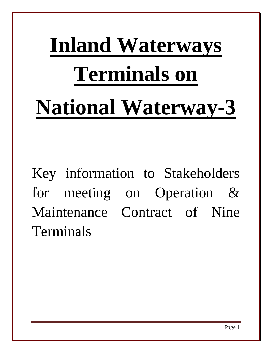# **Inland Waterways Terminals on National Waterway-3**

Key information to Stakeholders for meeting on Operation & Maintenance Contract of Nine Terminals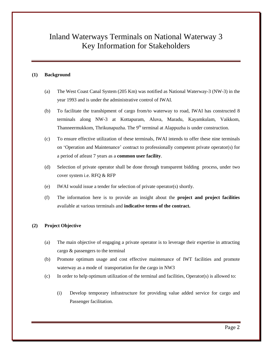# Inland Waterways Terminals on National Waterway 3 Key Information for Stakeholders

# **(1) Background**

- (a) The West Coast Canal System (205 Km) was notified as National Waterway-3 (NW-3) in the year 1993 and is under the administrative control of IWAI.
- (b) To facilitate the transhipment of cargo from/to waterway to road, IWAI has constructed 8 terminals along NW-3 at Kottapuram, Aluva, Maradu, Kayamkulam, Vaikkom, Thanneermukkom, Thrikunapuzha. The 9<sup>th</sup> terminal at Alappuzha is under construction.
- (c) To ensure effective utilization of these terminals, IWAI intends to offer these nine terminals on 'Operation and Maintenance' contract to professionally competent private operator(s) for a period of atleast 7 years as a **common user facility**.
- (d) Selection of private operator shall be done through transparent bidding process, under two cover system i.e. RFQ & RFP
- (e) IWAI would issue a tender for selection of private operator(s) shortly.
- (f) The information here is to provide an insight about the **project and project facilities** available at various terminals and **indicative terms of the contract.**

# **(2) Project Objective**

- (a) The main objective of engaging a private operator is to leverage their expertise in attracting cargo & passengers to the terminal
- (b) Promote optimum usage and cost effective maintenance of IWT facilities and promote waterway as a mode of transportation for the cargo in NW3
- (c) In order to help optimum utilization of the terminal and facilities, Operator(s) is allowed to:
	- (i) Develop temporary infrastructure for providing value added service for cargo and Passenger facilitation.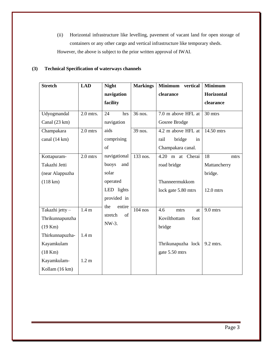(ii) Horizontal infrastructure like levelling, pavement of vacant land for open storage of containers or any other cargo and vertical infrastructure like temporary sheds. However, the above is subject to the prior written approval of IWAI.

# **(3) Technical Specification of waterways channels**

| <b>Stretch</b>                                                                 | <b>LAD</b>                | <b>Night</b>                            | <b>Markings</b> | Minimum vertical                                                | <b>Minimum</b>                        |
|--------------------------------------------------------------------------------|---------------------------|-----------------------------------------|-----------------|-----------------------------------------------------------------|---------------------------------------|
|                                                                                |                           | navigation                              |                 | clearance                                                       | Horizontal                            |
|                                                                                |                           | facility                                |                 |                                                                 | clearance                             |
| Udyogmandal<br>Canal (23 km)                                                   | $2.0$ mtrs.               | 24<br>hrs<br>navigation                 | 36 nos.         | 7.0 m above HFL at<br>Gosree Brodge                             | 30 mtrs                               |
| Champakara<br>canal (14 km)                                                    | $2.0$ mtrs                | aids<br>comprising<br>of                | 39 nos.         | 4.2 m above HFL at<br>bridge<br>rail<br>in<br>Champakara canal. | 14.50 mtrs                            |
| Kottapuram-<br>Takazhi Jetti<br>(near Alappuzha                                | $2.0$ mtrs                | navigational<br>buoys<br>and<br>solar   | 133 nos.        | Cherai<br>4.20<br>m at<br>road bridge                           | 18<br>mtrs<br>Mattancherry<br>bridge. |
| $(118 \text{ km})$                                                             |                           | operated<br>LED lights<br>provided in   |                 | Thanneermukkom<br>lock gate 5.80 mtrs                           | $12.0$ mtrs                           |
| Takazhi jetty -<br>Thrikunnapunzha<br>$(19$ Km $)$                             | 1.4 <sub>m</sub>          | the<br>entire<br>of<br>stretch<br>NW-3. | $104$ nos       | 4.6<br>mtrs<br>at<br>Kovilthottam<br>foot<br>bridge             | 9.0 mtrs                              |
| Thirkunnapuzha-<br>Kayamkulam<br>$(18$ Km $)$<br>Kayamkulam-<br>Kollam (16 km) | 1.4 <sub>m</sub><br>1.2 m |                                         |                 | Thrikunapuzha lock<br>gate 5.50 mtrs                            | 9.2 mtrs.                             |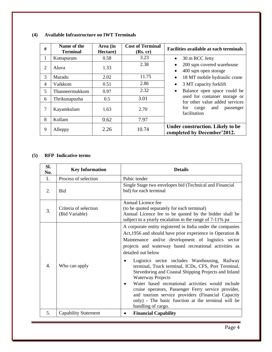| #              | Name of the<br><b>Terminal</b> | Area (in<br>Hectare) | <b>Cost of Terminal</b><br>(Rs, cr) | <b>Facilities available at each terminals</b>                               |
|----------------|--------------------------------|----------------------|-------------------------------------|-----------------------------------------------------------------------------|
| 1              | Kottapuram                     | 0.58                 | 3.23                                | 30 m RCC Jetty<br>$\bullet$                                                 |
| $\overline{2}$ | Aluva                          | 1.33                 | 2.38                                | 200 sqm covered warehouse<br>$\bullet$<br>400 sqm open storage<br>$\bullet$ |
| 3              | Maradu                         | 2.02                 | 11.75                               | 18 MT mobile hydraulic crane<br>$\bullet$                                   |
| 4              | Vaikkom                        | 0.51                 | 2.86                                | 3 MT capacity forklift<br>$\bullet$                                         |
| 5              | Thanneermukkom                 | 0.97                 | 2.32                                | Balance open space could be<br>$\bullet$                                    |
| 6              | Thrikunapuzha                  | 0.5                  | 3.01                                | used for container storage or<br>for other value added services             |
| 7              | Kayamkulam                     | 1.63                 | 2.70                                | and<br>for<br>cargo<br>passenger<br>facilitation                            |
| 8              | Kollam                         | 0.62                 | 7.97                                |                                                                             |
| 9              | Alleppy                        | 2.26                 | 10.74                               | Under construction. Likely to be<br>completed by December'2012.             |

# **(4) Available Infrastructure on IWT Terminals**

# **(5) RFP Indicative terms**

| SI.<br>No. | <b>Key Information</b>                  | <b>Details</b>                                                                                                                                                                                                                                                                                                                                                                                                                                                                                                                                                                                                                                                                                                  |
|------------|-----------------------------------------|-----------------------------------------------------------------------------------------------------------------------------------------------------------------------------------------------------------------------------------------------------------------------------------------------------------------------------------------------------------------------------------------------------------------------------------------------------------------------------------------------------------------------------------------------------------------------------------------------------------------------------------------------------------------------------------------------------------------|
| 1.         | Process of selection                    | Pubic tender                                                                                                                                                                                                                                                                                                                                                                                                                                                                                                                                                                                                                                                                                                    |
| 2.         | <b>Bid</b>                              | Single Stage two envelopes bid (Technical and Financial<br>bid) for each terminal                                                                                                                                                                                                                                                                                                                                                                                                                                                                                                                                                                                                                               |
| 3.         | Criteria of selection<br>(Bid Variable) | Annual Licence fee<br>(to be quoted separately for each terminal)<br>Annual Licence fee to be quoted by the bidder shall be<br>subject to a yearly escalation in the range of 7-11% pa                                                                                                                                                                                                                                                                                                                                                                                                                                                                                                                          |
| 4.         | Who can apply                           | A corporate entity registered in India under the companies<br>Act, 1956 and should have prior experience in Operation $\&$<br>Maintenance and/or development of logistics sector<br>projects and waterway based recreational activities as<br>detailed out below<br>Logistics sector includes Warehousing, Railway<br>terminal, Truck terminal, ICDs, CFS, Port Terminal,<br>Stevedoring and Coastal Shipping Projects and Inland<br><b>Waterway Projects</b><br>Water based recreational activities would include<br>٠<br>cruise operators, Passenger Ferry service provider,<br>and tourism service providers (Financial Capacity<br>only) - The basic function at the terminal will be<br>handling of cargo. |
| 5.         | <b>Capability Statement</b>             | <b>Financial Capability</b>                                                                                                                                                                                                                                                                                                                                                                                                                                                                                                                                                                                                                                                                                     |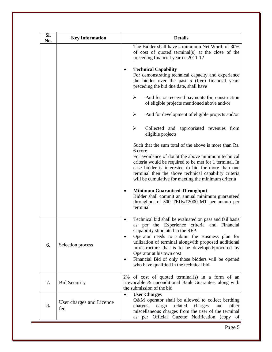| Sl.<br>No. | <b>Key Information</b>          | <b>Details</b>                                                                                                                                                                                                                                                                                                                                                                                                                                                   |
|------------|---------------------------------|------------------------------------------------------------------------------------------------------------------------------------------------------------------------------------------------------------------------------------------------------------------------------------------------------------------------------------------------------------------------------------------------------------------------------------------------------------------|
|            |                                 | The Bidder shall have a minimum Net Worth of 30%<br>of cost of quoted terminal(s) at the close of the<br>preceding financial year i.e 2011-12                                                                                                                                                                                                                                                                                                                    |
|            |                                 | <b>Technical Capability</b><br>٠<br>For demonstrating technical capacity and experience<br>the bidder over the past 5 (five) financial years<br>preceding the bid due date, shall have                                                                                                                                                                                                                                                                           |
|            |                                 | ➤<br>Paid for or received payments for, construction<br>of eligible projects mentioned above and/or                                                                                                                                                                                                                                                                                                                                                              |
|            |                                 | ➤<br>Paid for development of eligible projects and/or                                                                                                                                                                                                                                                                                                                                                                                                            |
|            |                                 | $\blacktriangleright$<br>Collected and appropriated revenues from<br>eligible projects                                                                                                                                                                                                                                                                                                                                                                           |
|            |                                 | Such that the sum total of the above is more than Rs.<br>6 crore<br>For avoidance of doubt the above minimum technical<br>criteria would be required to be met for 1 terminal. In<br>case bidder is interested to bid for more than one<br>terminal then the above technical capability criteria<br>will be cumulative for meeting the minimum criteria                                                                                                          |
|            |                                 | <b>Minimum Guaranteed Throughput</b><br>Bidder shall commit an annual minimum guaranteed<br>throughput of 500 TEUs/12000 MT per annum per<br>terminal                                                                                                                                                                                                                                                                                                            |
| 6.         | Selection process               | Technical bid shall be evaluated on pass and fail basis<br>$\bullet$<br>per the Experience criteria and Financial<br>as<br>Capability stipulated in the RFP.<br>Operator needs to submit the Business plan for<br>utilization of terminal alongwith proposed additional<br>infrastructure that is to be developed/procured by<br>Operator at his own cost<br>Financial Bid of only those bidders will be opened<br>٠<br>who have qualified in the technical bid. |
| 7.         | <b>Bid Security</b>             | 2% of cost of quoted terminal(s) in a form of an<br>irrevocable & unconditional Bank Guarantee, along with<br>the submission of the bid                                                                                                                                                                                                                                                                                                                          |
| 8.         | User charges and Licence<br>fee | <b>User Charges</b><br>$\bullet$<br>O&M operator shall be allowed to collect berthing<br>other<br>charges,<br>related<br>charges<br>cargo<br>and<br>miscellaneous charges from the user of the terminal<br>Official Gazette<br>Notification (copy of<br>per<br>as                                                                                                                                                                                                |